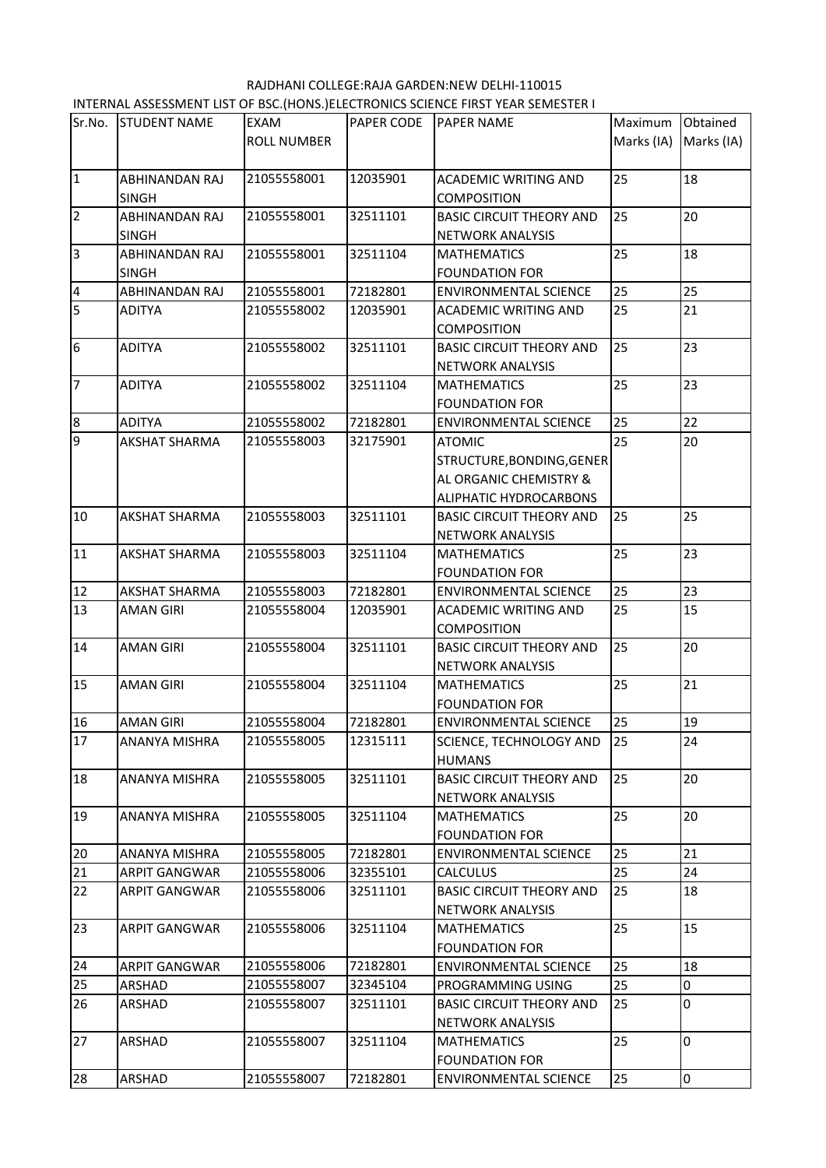RAJDHANI COLLEGE:RAJA GARDEN:NEW DELHI-110015 INTERNAL ASSESSMENT LIST OF BSC.(HONS.)ELECTRONICS SCIENCE FIRST YEAR SEMESTER I

| Sr.No.                  | <b>STUDENT NAME</b>  | <b>EXAM</b>        | <b>PAPER CODE</b> | <b>PAPER NAME</b>                                     | Maximum    | Obtained       |
|-------------------------|----------------------|--------------------|-------------------|-------------------------------------------------------|------------|----------------|
|                         |                      | <b>ROLL NUMBER</b> |                   |                                                       | Marks (IA) | Marks (IA)     |
| 1                       | ABHINANDAN RAJ       | 21055558001        | 12035901          | <b>ACADEMIC WRITING AND</b>                           | 25         | 18             |
|                         | <b>SINGH</b>         |                    |                   | <b>COMPOSITION</b>                                    |            |                |
| $\overline{2}$          | ABHINANDAN RAJ       | 21055558001        | 32511101          | <b>BASIC CIRCUIT THEORY AND</b>                       | 25         | 20             |
|                         | <b>SINGH</b>         |                    |                   | NETWORK ANALYSIS                                      |            |                |
| $\overline{3}$          | ABHINANDAN RAJ       | 21055558001        | 32511104          | <b>MATHEMATICS</b>                                    | 25         | 18             |
|                         | <b>SINGH</b>         |                    |                   | <b>FOUNDATION FOR</b>                                 |            |                |
| $\overline{\mathbf{4}}$ | ABHINANDAN RAJ       | 21055558001        | 72182801          | <b>ENVIRONMENTAL SCIENCE</b>                          | 25         | 25             |
| 5                       | <b>ADITYA</b>        | 21055558002        | 12035901          | ACADEMIC WRITING AND                                  | 25         | 21             |
|                         |                      |                    |                   | <b>COMPOSITION</b>                                    |            |                |
| $6\phantom{.}6$         | <b>ADITYA</b>        | 21055558002        | 32511101          | <b>BASIC CIRCUIT THEORY AND</b>                       | 25         | 23             |
|                         |                      |                    |                   | NETWORK ANALYSIS                                      |            |                |
| 7                       | <b>ADITYA</b>        | 21055558002        | 32511104          | <b>MATHEMATICS</b>                                    | 25         | 23             |
|                         |                      |                    |                   | <b>FOUNDATION FOR</b>                                 |            |                |
| $\boldsymbol{8}$        | <b>ADITYA</b>        | 21055558002        | 72182801          | <b>ENVIRONMENTAL SCIENCE</b>                          | 25         | 22             |
| 9                       | <b>AKSHAT SHARMA</b> | 21055558003        | 32175901          | <b>ATOMIC</b>                                         | 25         | 20             |
|                         |                      |                    |                   | STRUCTURE, BONDING, GENER                             |            |                |
|                         |                      |                    |                   | AL ORGANIC CHEMISTRY &                                |            |                |
|                         |                      |                    |                   | ALIPHATIC HYDROCARBONS                                |            |                |
| 10                      | <b>AKSHAT SHARMA</b> | 21055558003        | 32511101          | <b>BASIC CIRCUIT THEORY AND</b>                       | 25         | 25             |
|                         |                      |                    |                   | <b>NETWORK ANALYSIS</b>                               |            |                |
| 11                      | AKSHAT SHARMA        | 21055558003        | 32511104          | <b>MATHEMATICS</b>                                    | 25         | 23             |
|                         |                      |                    |                   | <b>FOUNDATION FOR</b>                                 |            |                |
| 12<br>13                | <b>AKSHAT SHARMA</b> | 21055558003        | 72182801          | <b>ENVIRONMENTAL SCIENCE</b>                          | 25<br>25   | 23<br>15       |
|                         | <b>AMAN GIRI</b>     | 21055558004        | 12035901          | ACADEMIC WRITING AND                                  |            |                |
| 14                      | <b>AMAN GIRI</b>     | 21055558004        | 32511101          | <b>COMPOSITION</b><br><b>BASIC CIRCUIT THEORY AND</b> | 25         | 20             |
|                         |                      |                    |                   | NETWORK ANALYSIS                                      |            |                |
| 15                      | <b>AMAN GIRI</b>     | 21055558004        | 32511104          | <b>MATHEMATICS</b>                                    | 25         | 21             |
|                         |                      |                    |                   | <b>FOUNDATION FOR</b>                                 |            |                |
| 16                      | <b>AMAN GIRI</b>     | 21055558004        | 72182801          | <b>ENVIRONMENTAL SCIENCE</b>                          | 25         | 19             |
| 17                      | ANANYA MISHRA        | 21055558005        | 12315111          | SCIENCE, TECHNOLOGY AND                               | 25         | 24             |
|                         |                      |                    |                   | <b>HUMANS</b>                                         |            |                |
| 18                      | ANANYA MISHRA        | 21055558005        | 32511101          | <b>BASIC CIRCUIT THEORY AND</b>                       | 25         | 20             |
|                         |                      |                    |                   | <b>NETWORK ANALYSIS</b>                               |            |                |
| 19                      | ANANYA MISHRA        | 21055558005        | 32511104          | <b>MATHEMATICS</b>                                    | 25         | 20             |
|                         |                      |                    |                   | <b>FOUNDATION FOR</b>                                 |            |                |
| 20                      | ANANYA MISHRA        | 21055558005        | 72182801          | <b>ENVIRONMENTAL SCIENCE</b>                          | 25         | 21             |
| 21                      | <b>ARPIT GANGWAR</b> | 21055558006        | 32355101          | <b>CALCULUS</b>                                       | 25         | 24             |
| 22                      | ARPIT GANGWAR        | 21055558006        | 32511101          | <b>BASIC CIRCUIT THEORY AND</b>                       | 25         | 18             |
|                         |                      |                    |                   | NETWORK ANALYSIS                                      |            |                |
| 23                      | ARPIT GANGWAR        | 21055558006        | 32511104          | <b>MATHEMATICS</b>                                    | 25         | 15             |
|                         |                      |                    |                   | <b>FOUNDATION FOR</b>                                 |            |                |
| 24                      | <b>ARPIT GANGWAR</b> | 21055558006        | 72182801          | <b>ENVIRONMENTAL SCIENCE</b>                          | 25         | 18             |
| 25                      | ARSHAD               | 21055558007        | 32345104          | PROGRAMMING USING                                     | 25         | 0              |
| 26                      | ARSHAD               | 21055558007        | 32511101          | <b>BASIC CIRCUIT THEORY AND</b>                       | 25         | $\overline{0}$ |
|                         |                      |                    |                   | NETWORK ANALYSIS                                      |            |                |
| 27                      | ARSHAD               | 21055558007        | 32511104          | <b>MATHEMATICS</b>                                    | 25         | $\overline{0}$ |
|                         |                      |                    |                   | <b>FOUNDATION FOR</b>                                 |            |                |
| 28                      | ARSHAD               | 21055558007        | 72182801          | <b>ENVIRONMENTAL SCIENCE</b>                          | 25         | $\overline{0}$ |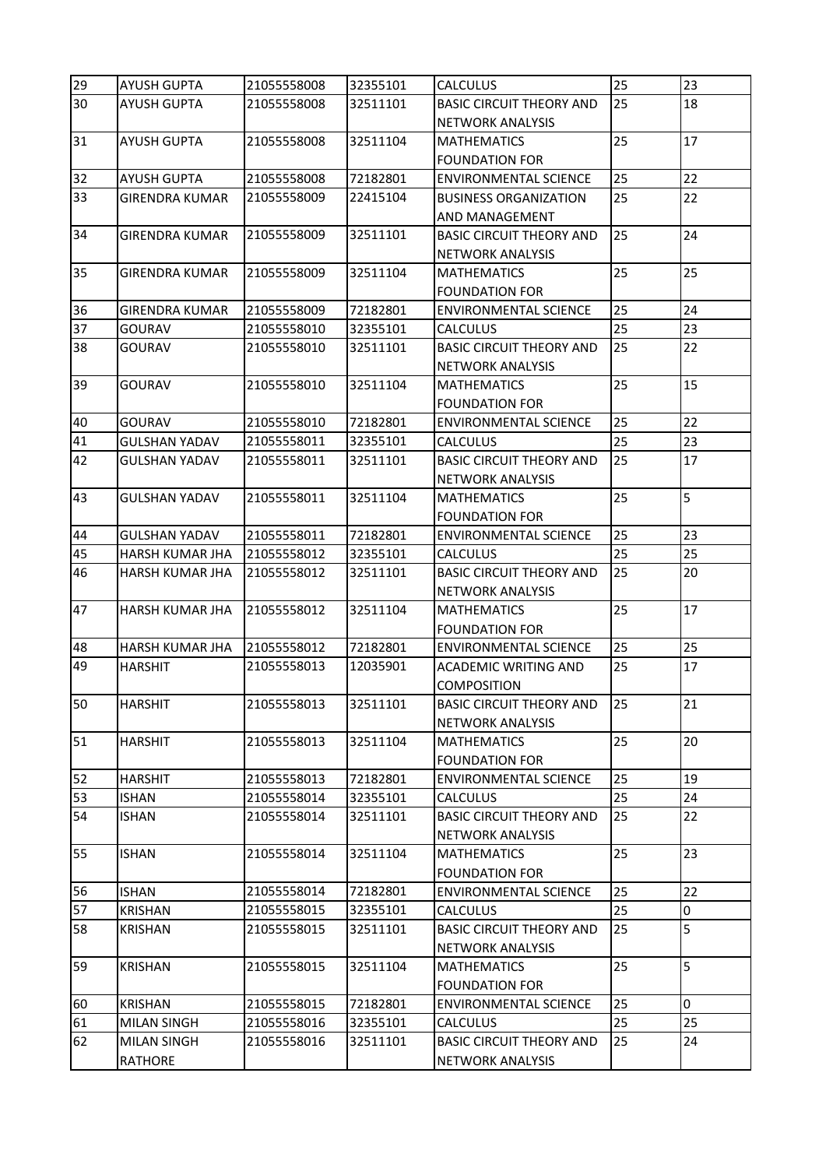| 29       | <b>AYUSH GUPTA</b>     | 21055558008 | 32355101             | <b>CALCULUS</b>                                 | 25 | 23 |
|----------|------------------------|-------------|----------------------|-------------------------------------------------|----|----|
| 30       | <b>AYUSH GUPTA</b>     | 21055558008 | 32511101             | <b>BASIC CIRCUIT THEORY AND</b>                 | 25 | 18 |
|          |                        |             |                      | <b>NETWORK ANALYSIS</b>                         |    |    |
| 31       | <b>AYUSH GUPTA</b>     | 21055558008 | 32511104             | <b>MATHEMATICS</b>                              | 25 | 17 |
|          |                        |             |                      | <b>FOUNDATION FOR</b>                           |    |    |
| 32       | <b>AYUSH GUPTA</b>     | 21055558008 | 72182801             | <b>ENVIRONMENTAL SCIENCE</b>                    | 25 | 22 |
| 33       | <b>GIRENDRA KUMAR</b>  | 21055558009 | 22415104             | <b>BUSINESS ORGANIZATION</b>                    | 25 | 22 |
|          |                        |             |                      | AND MANAGEMENT                                  |    |    |
| 34       | <b>GIRENDRA KUMAR</b>  | 21055558009 | 32511101             | <b>BASIC CIRCUIT THEORY AND</b>                 | 25 | 24 |
|          |                        |             |                      | <b>NETWORK ANALYSIS</b>                         |    |    |
| 35       | <b>GIRENDRA KUMAR</b>  | 21055558009 | 32511104             | <b>MATHEMATICS</b>                              | 25 | 25 |
|          |                        |             |                      | <b>FOUNDATION FOR</b>                           |    |    |
| 36       | <b>GIRENDRA KUMAR</b>  | 21055558009 | 72182801             | <b>ENVIRONMENTAL SCIENCE</b>                    | 25 | 24 |
| 37       | <b>GOURAV</b>          | 21055558010 | 32355101             | <b>CALCULUS</b>                                 | 25 | 23 |
| 38       | <b>GOURAV</b>          | 21055558010 | 32511101             | <b>BASIC CIRCUIT THEORY AND</b>                 | 25 | 22 |
|          |                        |             |                      | <b>NETWORK ANALYSIS</b>                         |    |    |
| 39       | GOURAV                 | 21055558010 | 32511104             | <b>MATHEMATICS</b>                              | 25 | 15 |
|          |                        |             |                      | <b>FOUNDATION FOR</b>                           |    |    |
| 40       | <b>GOURAV</b>          | 21055558010 | 72182801             | <b>ENVIRONMENTAL SCIENCE</b>                    | 25 | 22 |
| 41       | <b>GULSHAN YADAV</b>   | 21055558011 | 32355101             | <b>CALCULUS</b>                                 | 25 | 23 |
| 42       | <b>GULSHAN YADAV</b>   | 21055558011 | 32511101             | <b>BASIC CIRCUIT THEORY AND</b>                 | 25 | 17 |
|          |                        |             |                      | <b>NETWORK ANALYSIS</b>                         |    | 5  |
| 43       | <b>GULSHAN YADAV</b>   | 21055558011 | 32511104             | <b>MATHEMATICS</b>                              | 25 |    |
|          | <b>GULSHAN YADAV</b>   | 21055558011 |                      | <b>FOUNDATION FOR</b>                           | 25 | 23 |
| 44<br>45 | <b>HARSH KUMAR JHA</b> | 21055558012 | 72182801<br>32355101 | <b>ENVIRONMENTAL SCIENCE</b><br><b>CALCULUS</b> | 25 | 25 |
| 46       | HARSH KUMAR JHA        | 21055558012 | 32511101             | <b>BASIC CIRCUIT THEORY AND</b>                 | 25 | 20 |
|          |                        |             |                      | <b>NETWORK ANALYSIS</b>                         |    |    |
| 47       | <b>HARSH KUMAR JHA</b> | 21055558012 | 32511104             | <b>MATHEMATICS</b>                              | 25 | 17 |
|          |                        |             |                      | <b>FOUNDATION FOR</b>                           |    |    |
| 48       | HARSH KUMAR JHA        | 21055558012 | 72182801             | <b>ENVIRONMENTAL SCIENCE</b>                    | 25 | 25 |
| 49       | <b>HARSHIT</b>         | 21055558013 | 12035901             | <b>ACADEMIC WRITING AND</b>                     | 25 | 17 |
|          |                        |             |                      | <b>COMPOSITION</b>                              |    |    |
| 50       | <b>HARSHIT</b>         | 21055558013 | 32511101             | <b>BASIC CIRCUIT THEORY AND</b>                 | 25 | 21 |
|          |                        |             |                      | <b>NETWORK ANALYSIS</b>                         |    |    |
| 51       | <b>HARSHIT</b>         | 21055558013 | 32511104             | <b>MATHEMATICS</b>                              | 25 | 20 |
|          |                        |             |                      | <b>FOUNDATION FOR</b>                           |    |    |
| 52       | <b>HARSHIT</b>         | 21055558013 | 72182801             | <b>ENVIRONMENTAL SCIENCE</b>                    | 25 | 19 |
| 53       | <b>ISHAN</b>           | 21055558014 | 32355101             | <b>CALCULUS</b>                                 | 25 | 24 |
| 54       | <b>ISHAN</b>           | 21055558014 | 32511101             | <b>BASIC CIRCUIT THEORY AND</b>                 | 25 | 22 |
|          |                        |             |                      | <b>NETWORK ANALYSIS</b>                         |    |    |
| 55       | <b>ISHAN</b>           | 21055558014 | 32511104             | <b>MATHEMATICS</b>                              | 25 | 23 |
|          |                        |             |                      | <b>FOUNDATION FOR</b>                           |    |    |
| 56       | <b>ISHAN</b>           | 21055558014 | 72182801             | <b>ENVIRONMENTAL SCIENCE</b>                    | 25 | 22 |
| 57       | KRISHAN                | 21055558015 | 32355101             | <b>CALCULUS</b>                                 | 25 | 0  |
| 58       | KRISHAN                | 21055558015 | 32511101             | <b>BASIC CIRCUIT THEORY AND</b>                 | 25 | 5  |
|          |                        |             |                      | <b>NETWORK ANALYSIS</b>                         |    |    |
| 59       | KRISHAN                | 21055558015 | 32511104             | <b>MATHEMATICS</b>                              | 25 | 5  |
|          |                        |             |                      | <b>FOUNDATION FOR</b>                           |    |    |
| 60       | <b>KRISHAN</b>         | 21055558015 | 72182801             | <b>ENVIRONMENTAL SCIENCE</b>                    | 25 | 0  |
| 61       | <b>MILAN SINGH</b>     | 21055558016 | 32355101             | <b>CALCULUS</b>                                 | 25 | 25 |
| 62       | <b>MILAN SINGH</b>     | 21055558016 | 32511101             | <b>BASIC CIRCUIT THEORY AND</b>                 | 25 | 24 |
|          | <b>RATHORE</b>         |             |                      | NETWORK ANALYSIS                                |    |    |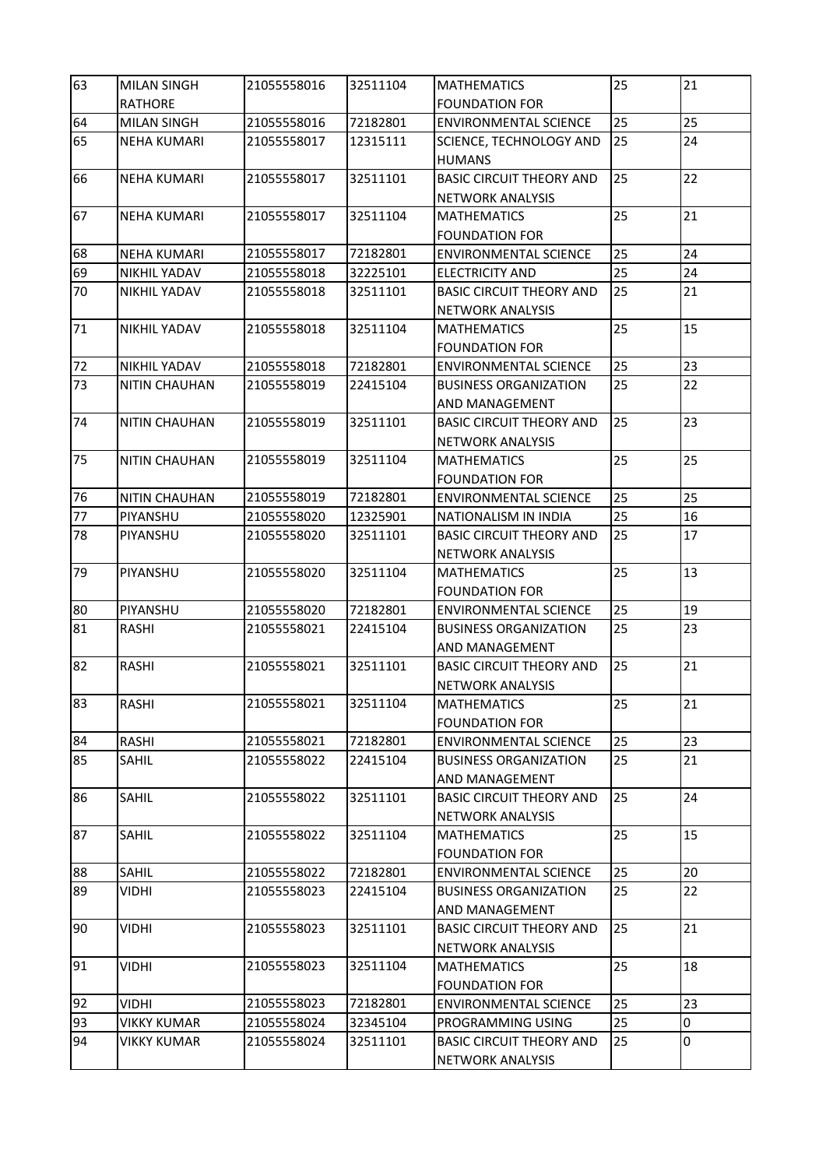| 63      | <b>MILAN SINGH</b>   | 21055558016 | 32511104 | <b>MATHEMATICS</b>                                         | 25 | 21 |
|---------|----------------------|-------------|----------|------------------------------------------------------------|----|----|
|         | <b>RATHORE</b>       |             |          | <b>FOUNDATION FOR</b>                                      |    |    |
| 64      | <b>MILAN SINGH</b>   | 21055558016 | 72182801 | <b>ENVIRONMENTAL SCIENCE</b>                               | 25 | 25 |
| 65      | <b>NEHA KUMARI</b>   | 21055558017 | 12315111 | SCIENCE, TECHNOLOGY AND<br><b>HUMANS</b>                   | 25 | 24 |
| 66      | <b>NEHA KUMARI</b>   | 21055558017 | 32511101 | <b>BASIC CIRCUIT THEORY AND</b><br><b>NETWORK ANALYSIS</b> | 25 | 22 |
| 67      | <b>NEHA KUMARI</b>   | 21055558017 | 32511104 | <b>MATHEMATICS</b><br><b>FOUNDATION FOR</b>                | 25 | 21 |
| 68      | <b>NEHA KUMARI</b>   | 21055558017 | 72182801 | <b>ENVIRONMENTAL SCIENCE</b>                               | 25 | 24 |
| 69      | NIKHIL YADAV         | 21055558018 | 32225101 | <b>ELECTRICITY AND</b>                                     | 25 | 24 |
| 70      | NIKHIL YADAV         | 21055558018 | 32511101 | <b>BASIC CIRCUIT THEORY AND</b>                            | 25 | 21 |
|         |                      |             |          | NETWORK ANALYSIS                                           |    |    |
| 71      | NIKHIL YADAV         | 21055558018 | 32511104 | <b>MATHEMATICS</b>                                         | 25 | 15 |
|         |                      |             |          | <b>FOUNDATION FOR</b>                                      |    |    |
| 72      | <b>NIKHIL YADAV</b>  | 21055558018 | 72182801 | <b>ENVIRONMENTAL SCIENCE</b>                               | 25 | 23 |
| 73      | NITIN CHAUHAN        | 21055558019 | 22415104 | <b>BUSINESS ORGANIZATION</b>                               | 25 | 22 |
|         |                      |             |          | AND MANAGEMENT                                             |    |    |
| 74      | <b>NITIN CHAUHAN</b> | 21055558019 | 32511101 | <b>BASIC CIRCUIT THEORY AND</b>                            | 25 | 23 |
|         |                      |             |          | NETWORK ANALYSIS                                           |    |    |
| 75      | <b>NITIN CHAUHAN</b> | 21055558019 | 32511104 | <b>MATHEMATICS</b><br><b>FOUNDATION FOR</b>                | 25 | 25 |
| 76      | <b>NITIN CHAUHAN</b> | 21055558019 | 72182801 | <b>ENVIRONMENTAL SCIENCE</b>                               | 25 | 25 |
| $77 \,$ | PIYANSHU             | 21055558020 | 12325901 | NATIONALISM IN INDIA                                       | 25 | 16 |
| 78      | PIYANSHU             | 21055558020 | 32511101 | <b>BASIC CIRCUIT THEORY AND</b>                            | 25 | 17 |
|         |                      |             |          | NETWORK ANALYSIS                                           |    |    |
| 79      | PIYANSHU             | 21055558020 | 32511104 | <b>MATHEMATICS</b>                                         | 25 | 13 |
|         |                      |             |          | <b>FOUNDATION FOR</b>                                      |    |    |
| 80      | PIYANSHU             | 21055558020 | 72182801 | <b>ENVIRONMENTAL SCIENCE</b>                               | 25 | 19 |
| 81      | <b>RASHI</b>         | 21055558021 | 22415104 | <b>BUSINESS ORGANIZATION</b>                               | 25 | 23 |
|         |                      |             |          | AND MANAGEMENT                                             |    |    |
| 82      | RASHI                | 21055558021 | 32511101 | <b>BASIC CIRCUIT THEORY AND</b>                            | 25 | 21 |
|         |                      |             |          | <b>NETWORK ANALYSIS</b>                                    |    |    |
| 83      | <b>RASHI</b>         | 21055558021 | 32511104 | <b>MATHEMATICS</b>                                         | 25 | 21 |
|         |                      |             |          | <b>FOUNDATION FOR</b>                                      |    |    |
| 84      | RASHI                | 21055558021 | 72182801 | <b>ENVIRONMENTAL SCIENCE</b>                               | 25 | 23 |
| 85      | SAHIL                | 21055558022 | 22415104 | <b>BUSINESS ORGANIZATION</b>                               | 25 | 21 |
|         |                      |             |          | AND MANAGEMENT                                             |    |    |
| 86      | <b>SAHIL</b>         | 21055558022 | 32511101 | <b>BASIC CIRCUIT THEORY AND</b>                            | 25 | 24 |
|         |                      |             |          | <b>NETWORK ANALYSIS</b>                                    |    |    |
| 87      | <b>SAHIL</b>         | 21055558022 | 32511104 | <b>MATHEMATICS</b><br><b>FOUNDATION FOR</b>                | 25 | 15 |
| 88      | SAHIL                | 21055558022 | 72182801 | <b>ENVIRONMENTAL SCIENCE</b>                               | 25 | 20 |
| 89      | VIDHI                | 21055558023 | 22415104 | <b>BUSINESS ORGANIZATION</b>                               | 25 | 22 |
|         |                      |             |          | AND MANAGEMENT                                             |    |    |
| 90      | VIDHI                | 21055558023 | 32511101 | <b>BASIC CIRCUIT THEORY AND</b>                            | 25 | 21 |
|         |                      |             |          | <b>NETWORK ANALYSIS</b>                                    |    |    |
| 91      | VIDHI                | 21055558023 | 32511104 | <b>MATHEMATICS</b>                                         | 25 | 18 |
|         |                      |             |          | <b>FOUNDATION FOR</b>                                      |    |    |
| 92      | <b>VIDHI</b>         | 21055558023 | 72182801 | <b>ENVIRONMENTAL SCIENCE</b>                               | 25 | 23 |
| 93      | VIKKY KUMAR          | 21055558024 | 32345104 | PROGRAMMING USING                                          | 25 | 0  |
| 94      | VIKKY KUMAR          | 21055558024 | 32511101 | <b>BASIC CIRCUIT THEORY AND</b>                            | 25 | 0  |
|         |                      |             |          | NETWORK ANALYSIS                                           |    |    |